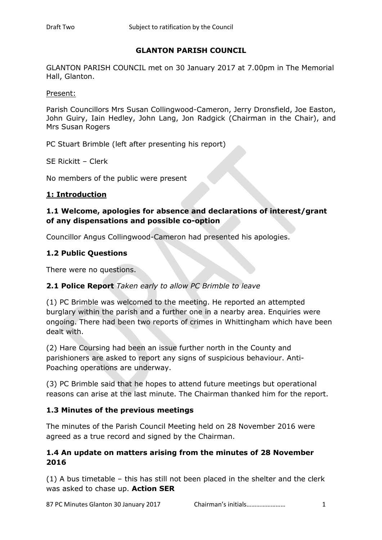## **GLANTON PARISH COUNCIL**

GLANTON PARISH COUNCIL met on 30 January 2017 at 7.00pm in The Memorial Hall, Glanton.

Present:

Parish Councillors Mrs Susan Collingwood-Cameron, Jerry Dronsfield, Joe Easton, John Guiry, Iain Hedley, John Lang, Jon Radgick (Chairman in the Chair), and Mrs Susan Rogers

PC Stuart Brimble (left after presenting his report)

SE Rickitt – Clerk

No members of the public were present

#### **1: Introduction**

## **1.1 Welcome, apologies for absence and declarations of interest/grant of any dispensations and possible co-option**

Councillor Angus Collingwood-Cameron had presented his apologies.

### **1.2 Public Questions**

There were no questions.

#### **2.1 Police Report** *Taken early to allow PC Brimble to leave*

(1) PC Brimble was welcomed to the meeting. He reported an attempted burglary within the parish and a further one in a nearby area. Enquiries were ongoing. There had been two reports of crimes in Whittingham which have been dealt with.

(2) Hare Coursing had been an issue further north in the County and parishioners are asked to report any signs of suspicious behaviour. Anti-Poaching operations are underway.

(3) PC Brimble said that he hopes to attend future meetings but operational reasons can arise at the last minute. The Chairman thanked him for the report.

#### **1.3 Minutes of the previous meetings**

The minutes of the Parish Council Meeting held on 28 November 2016 were agreed as a true record and signed by the Chairman.

### **1.4 An update on matters arising from the minutes of 28 November 2016**

(1) A bus timetable – this has still not been placed in the shelter and the clerk was asked to chase up. **Action SER**

87 PC Minutes Glanton 30 January 2017 Chairman's initials…………………… 1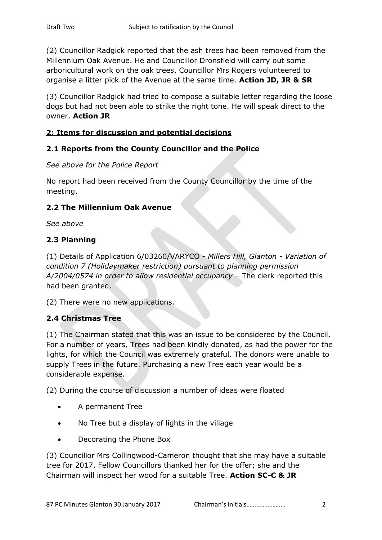(2) Councillor Radgick reported that the ash trees had been removed from the Millennium Oak Avenue. He and Councillor Dronsfield will carry out some arboricultural work on the oak trees. Councillor Mrs Rogers volunteered to organise a litter pick of the Avenue at the same time. **Action JD, JR & SR**

(3) Councillor Radgick had tried to compose a suitable letter regarding the loose dogs but had not been able to strike the right tone. He will speak direct to the owner. **Action JR**

### **2: Items for discussion and potential decisions**

### **2.1 Reports from the County Councillor and the Police**

#### *See above for the Police Report*

No report had been received from the County Councillor by the time of the meeting.

### **2.2 The Millennium Oak Avenue**

*See above*

### **2.3 Planning**

(1) Details of Application 6/03260/VARYCO - *Millers Hill, Glanton - Variation of condition 7 (Holidaymaker restriction) pursuant to planning permission A/2004/0574 in order to allow residential occupancy* – The clerk reported this had been granted.

(2) There were no new applications.

## **2.4 Christmas Tree**

(1) The Chairman stated that this was an issue to be considered by the Council. For a number of years, Trees had been kindly donated, as had the power for the lights, for which the Council was extremely grateful. The donors were unable to supply Trees in the future. Purchasing a new Tree each year would be a considerable expense.

(2) During the course of discussion a number of ideas were floated

- A permanent Tree
- No Tree but a display of lights in the village
- Decorating the Phone Box

(3) Councillor Mrs Collingwood-Cameron thought that she may have a suitable tree for 2017. Fellow Councillors thanked her for the offer; she and the Chairman will inspect her wood for a suitable Tree. **Action SC-C & JR**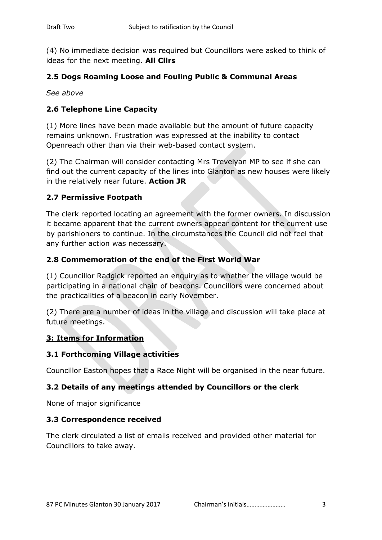(4) No immediate decision was required but Councillors were asked to think of ideas for the next meeting. **All Cllrs**

## **2.5 Dogs Roaming Loose and Fouling Public & Communal Areas**

*See above*

## **2.6 Telephone Line Capacity**

(1) More lines have been made available but the amount of future capacity remains unknown. Frustration was expressed at the inability to contact Openreach other than via their web-based contact system.

(2) The Chairman will consider contacting Mrs Trevelyan MP to see if she can find out the current capacity of the lines into Glanton as new houses were likely in the relatively near future. **Action JR**

### **2.7 Permissive Footpath**

The clerk reported locating an agreement with the former owners. In discussion it became apparent that the current owners appear content for the current use by parishioners to continue. In the circumstances the Council did not feel that any further action was necessary.

### **2.8 Commemoration of the end of the First World War**

(1) Councillor Radgick reported an enquiry as to whether the village would be participating in a national chain of beacons. Councillors were concerned about the practicalities of a beacon in early November.

(2) There are a number of ideas in the village and discussion will take place at future meetings.

#### **3: Items for Information**

#### **3.1 Forthcoming Village activities**

Councillor Easton hopes that a Race Night will be organised in the near future.

## **3.2 Details of any meetings attended by Councillors or the clerk**

None of major significance

#### **3.3 Correspondence received**

The clerk circulated a list of emails received and provided other material for Councillors to take away.